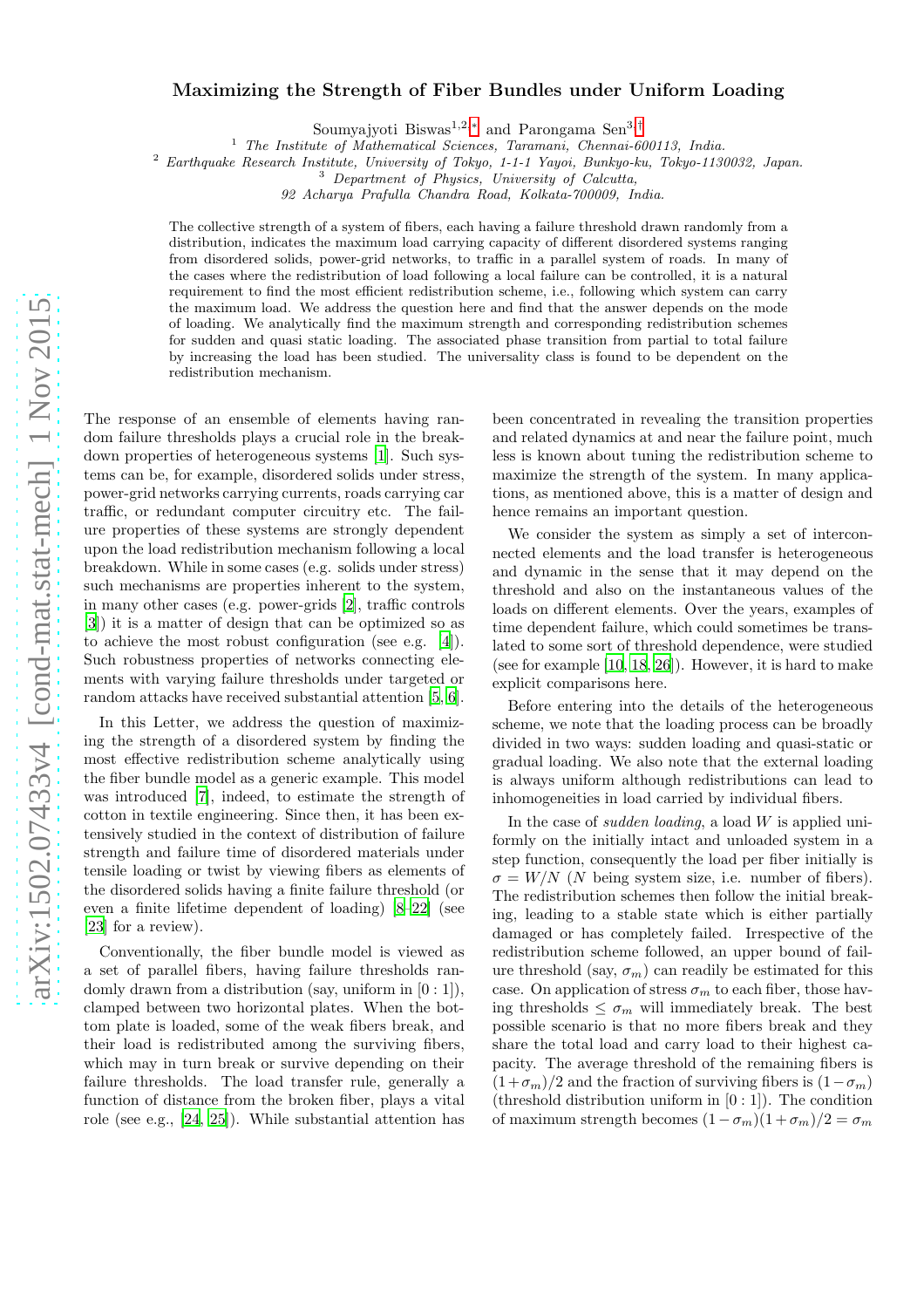# arXiv:1502.07433v4 [cond-mat.stat-mech] 1 Nov 2015 [arXiv:1502.07433v4 \[cond-mat.stat-mech\] 1 Nov 2015](http://arxiv.org/abs/1502.07433v4)

# Maximizing the Strength of Fiber Bundles under Uniform Loading

Soumyajyoti Biswas<sup>1,2,[∗](#page-4-0)</sup> and Parongama Sen<sup>3,[†](#page-4-1)</sup>

<sup>1</sup> *The Institute of Mathematical Sciences, Taramani, Chennai-600113, India.*

<sup>2</sup> *Earthquake Research Institute, University of Tokyo, 1-1-1 Yayoi, Bunkyo-ku, Tokyo-1130032, Japan.*

*92 Acharya Prafulla Chandra Road, Kolkata-700009, India.*

The collective strength of a system of fibers, each having a failure threshold drawn randomly from a distribution, indicates the maximum load carrying capacity of different disordered systems ranging from disordered solids, power-grid networks, to traffic in a parallel system of roads. In many of the cases where the redistribution of load following a local failure can be controlled, it is a natural requirement to find the most efficient redistribution scheme, i.e., following which system can carry the maximum load. We address the question here and find that the answer depends on the mode of loading. We analytically find the maximum strength and corresponding redistribution schemes for sudden and quasi static loading. The associated phase transition from partial to total failure by increasing the load has been studied. The universality class is found to be dependent on the redistribution mechanism.

The response of an ensemble of elements having random failure thresholds plays a crucial role in the breakdown properties of heterogeneous systems [\[1](#page-4-2)]. Such systems can be, for example, disordered solids under stress, power-grid networks carrying currents, roads carrying car traffic, or redundant computer circuitry etc. The failure properties of these systems are strongly dependent upon the load redistribution mechanism following a local breakdown. While in some cases (e.g. solids under stress) such mechanisms are properties inherent to the system, in many other cases (e.g. power-grids [\[2\]](#page-4-3), traffic controls [\[3\]](#page-4-4)) it is a matter of design that can be optimized so as to achieve the most robust configuration (see e.g. [\[4\]](#page-4-5)). Such robustness properties of networks connecting elements with varying failure thresholds under targeted or random attacks have received substantial attention [\[5](#page-4-6), [6\]](#page-4-7).

In this Letter, we address the question of maximizing the strength of a disordered system by finding the most effective redistribution scheme analytically using the fiber bundle model as a generic example. This model was introduced [\[7\]](#page-4-8), indeed, to estimate the strength of cotton in textile engineering. Since then, it has been extensively studied in the context of distribution of failure strength and failure time of disordered materials under tensile loading or twist by viewing fibers as elements of the disordered solids having a finite failure threshold (or even a finite lifetime dependent of loading) [\[8](#page-4-9)[–22](#page-4-10)] (see [\[23\]](#page-4-11) for a review).

Conventionally, the fiber bundle model is viewed as a set of parallel fibers, having failure thresholds randomly drawn from a distribution (say, uniform in  $[0:1]$ ), clamped between two horizontal plates. When the bottom plate is loaded, some of the weak fibers break, and their load is redistributed among the surviving fibers, which may in turn break or survive depending on their failure thresholds. The load transfer rule, generally a function of distance from the broken fiber, plays a vital role (see e.g., [\[24,](#page-4-12) [25](#page-4-13)]). While substantial attention has been concentrated in revealing the transition properties and related dynamics at and near the failure point, much less is known about tuning the redistribution scheme to maximize the strength of the system. In many applications, as mentioned above, this is a matter of design and hence remains an important question.

We consider the system as simply a set of interconnected elements and the load transfer is heterogeneous and dynamic in the sense that it may depend on the threshold and also on the instantaneous values of the loads on different elements. Over the years, examples of time dependent failure, which could sometimes be translated to some sort of threshold dependence, were studied (see for example [\[10,](#page-4-14) [18,](#page-4-15) [26\]](#page-4-16)). However, it is hard to make explicit comparisons here.

Before entering into the details of the heterogeneous scheme, we note that the loading process can be broadly divided in two ways: sudden loading and quasi-static or gradual loading. We also note that the external loading is always uniform although redistributions can lead to inhomogeneities in load carried by individual fibers.

In the case of *sudden loading*, a load  $W$  is applied uniformly on the initially intact and unloaded system in a step function, consequently the load per fiber initially is  $\sigma = W/N$  (N being system size, i.e. number of fibers). The redistribution schemes then follow the initial breaking, leading to a stable state which is either partially damaged or has completely failed. Irrespective of the redistribution scheme followed, an upper bound of failure threshold (say,  $\sigma_m$ ) can readily be estimated for this case. On application of stress  $\sigma_m$  to each fiber, those having thresholds  $\leq \sigma_m$  will immediately break. The best possible scenario is that no more fibers break and they share the total load and carry load to their highest capacity. The average threshold of the remaining fibers is  $(1+\sigma_m)/2$  and the fraction of surviving fibers is  $(1-\sigma_m)$ (threshold distribution uniform in  $[0:1]$ ). The condition of maximum strength becomes  $(1 - \sigma_m)(1 + \sigma_m)/2 = \sigma_m$ 

<sup>3</sup> *Department of Physics, University of Calcutta,*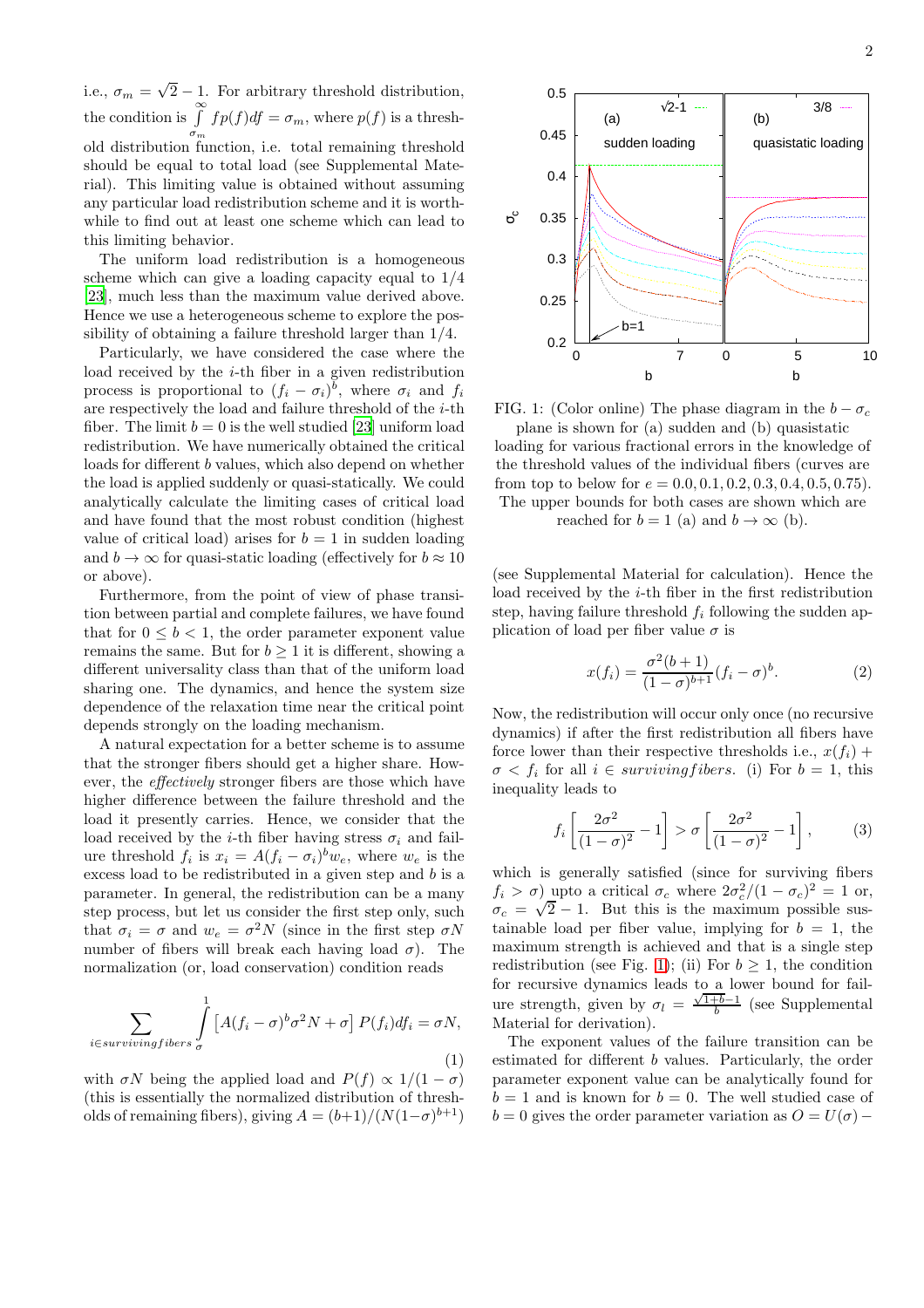i.e.,  $\sigma_m = \sqrt{2} - 1$ . For arbitrary threshold distribution, the condition is  $\int_{a}^{\infty} f p(f) df = \sigma_m$ , where  $p(f)$  is a thresh- $\sigma_m$ <br>old distribution function, i.e. total remaining threshold should be equal to total load (see Supplemental Material). This limiting value is obtained without assuming any particular load redistribution scheme and it is worthwhile to find out at least one scheme which can lead to this limiting behavior.

The uniform load redistribution is a homogeneous scheme which can give a loading capacity equal to 1/4 [\[23\]](#page-4-11), much less than the maximum value derived above. Hence we use a heterogeneous scheme to explore the possibility of obtaining a failure threshold larger than 1/4.

Particularly, we have considered the case where the load received by the  $i$ -th fiber in a given redistribution process is proportional to  $(f_i - \sigma_i)^b$ , where  $\sigma_i$  and  $f_i$ are respectively the load and failure threshold of the  $i$ -th fiber. The limit  $b = 0$  is the well studied [\[23](#page-4-11)] uniform load redistribution. We have numerically obtained the critical loads for different b values, which also depend on whether the load is applied suddenly or quasi-statically. We could analytically calculate the limiting cases of critical load and have found that the most robust condition (highest value of critical load) arises for  $b = 1$  in sudden loading and  $b \to \infty$  for quasi-static loading (effectively for  $b \approx 10$ ) or above).

Furthermore, from the point of view of phase transition between partial and complete failures, we have found that for  $0 \leq b < 1$ , the order parameter exponent value remains the same. But for  $b \geq 1$  it is different, showing a different universality class than that of the uniform load sharing one. The dynamics, and hence the system size dependence of the relaxation time near the critical point depends strongly on the loading mechanism.

A natural expectation for a better scheme is to assume that the stronger fibers should get a higher share. However, the effectively stronger fibers are those which have higher difference between the failure threshold and the load it presently carries. Hence, we consider that the load received by the *i*-th fiber having stress  $\sigma_i$  and failure threshold  $f_i$  is  $x_i = A(f_i - \sigma_i)^b w_e$ , where  $w_e$  is the excess load to be redistributed in a given step and b is a parameter. In general, the redistribution can be a many step process, but let us consider the first step only, such that  $\sigma_i = \sigma$  and  $w_e = \sigma^2 N$  (since in the first step  $\sigma N$ number of fibers will break each having load  $\sigma$ ). The normalization (or, load conservation) condition reads

$$
\sum_{i \in survivingfibers} \int_{\sigma}^{1} \left[ A(f_i - \sigma)^b \sigma^2 N + \sigma \right] P(f_i) df_i = \sigma N,
$$
\n(1)

with  $\sigma N$  being the applied load and  $P(f) \propto 1/(1-\sigma)$ (this is essentially the normalized distribution of thresholds of remaining fibers), giving  $A = (b+1)/(N(1-\sigma)^{b+1})$ 

<span id="page-1-0"></span>

FIG. 1: (Color online) The phase diagram in the  $b - \sigma_c$ plane is shown for (a) sudden and (b) quasistatic loading for various fractional errors in the knowledge of the threshold values of the individual fibers (curves are from top to below for  $e = 0.0, 0.1, 0.2, 0.3, 0.4, 0.5, 0.75$ . The upper bounds for both cases are shown which are reached for  $b = 1$  (a) and  $b \rightarrow \infty$  (b).

(see Supplemental Material for calculation). Hence the load received by the *i*-th fiber in the first redistribution step, having failure threshold  $f_i$  following the sudden application of load per fiber value  $\sigma$  is

$$
x(f_i) = \frac{\sigma^2(b+1)}{(1-\sigma)^{b+1}} (f_i - \sigma)^b.
$$
 (2)

Now, the redistribution will occur only once (no recursive dynamics) if after the first redistribution all fibers have force lower than their respective thresholds i.e.,  $x(f_i)$  +  $\sigma \langle f_i \rangle$  for all  $i \in \text{surviving fibers.}$  (i) For  $b = 1$ , this inequality leads to

$$
f_i\left[\frac{2\sigma^2}{(1-\sigma)^2} - 1\right] > \sigma\left[\frac{2\sigma^2}{(1-\sigma)^2} - 1\right],\tag{3}
$$

which is generally satisfied (since for surviving fibers  $f_i > \sigma$ ) upto a critical  $\sigma_c$  where  $2\sigma_c^2/(1-\sigma_c)^2 = 1$  or,  $\sigma_c = \sqrt{2} - 1$ . But this is the maximum possible sustainable load per fiber value, implying for  $b = 1$ , the maximum strength is achieved and that is a single step redistribution (see Fig. [1\)](#page-1-0); (ii) For  $b \geq 1$ , the condition for recursive dynamics leads to a lower bound for failure strength, given by  $\sigma_l = \frac{\sqrt{1+b}-1}{b}$  (see Supplemental Material for derivation).

The exponent values of the failure transition can be estimated for different b values. Particularly, the order parameter exponent value can be analytically found for  $b = 1$  and is known for  $b = 0$ . The well studied case of  $b = 0$  gives the order parameter variation as  $O = U(\sigma)$  –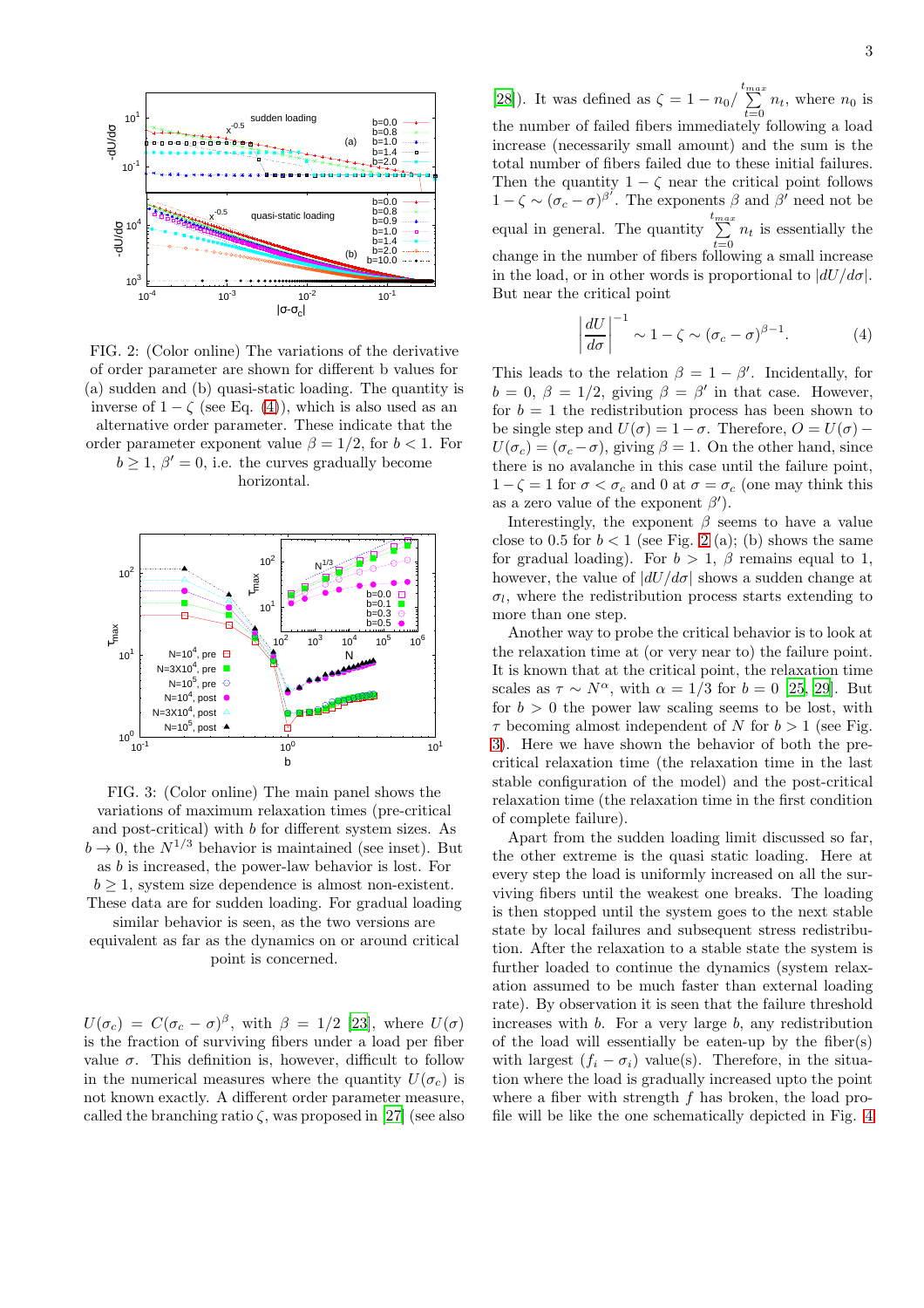<span id="page-2-1"></span>

FIG. 2: (Color online) The variations of the derivative of order parameter are shown for different b values for (a) sudden and (b) quasi-static loading. The quantity is inverse of  $1 - \zeta$  (see Eq. [\(4\)](#page-2-0)), which is also used as an alternative order parameter. These indicate that the order parameter exponent value  $\beta = 1/2$ , for  $b < 1$ . For  $b \geq 1, \beta' = 0$ , i.e. the curves gradually become

horizontal.

<span id="page-2-2"></span>

FIG. 3: (Color online) The main panel shows the variations of maximum relaxation times (pre-critical and post-critical) with b for different system sizes. As  $b \rightarrow 0$ , the  $N^{1/3}$  behavior is maintained (see inset). But as b is increased, the power-law behavior is lost. For  $b \geq 1$ , system size dependence is almost non-existent. These data are for sudden loading. For gradual loading

similar behavior is seen, as the two versions are equivalent as far as the dynamics on or around critical point is concerned.

 $U(\sigma_c) = C(\sigma_c - \sigma)^{\beta}$ , with  $\beta = 1/2$  [\[23\]](#page-4-11), where  $U(\sigma)$ is the fraction of surviving fibers under a load per fiber value  $\sigma$ . This definition is, however, difficult to follow in the numerical measures where the quantity  $U(\sigma_c)$  is not known exactly. A different order parameter measure, called the branching ratio  $\zeta$ , was proposed in [\[27\]](#page-4-17) (see also

[\[28\]](#page-4-18)). It was defined as  $\zeta = 1 - n_0 / \sum_{t=0}^{t_{max}} n_t$ , where  $n_0$  is the number of failed fibers immediately following a load increase (necessarily small amount) and the sum is the total number of fibers failed due to these initial failures. Then the quantity  $1 - \zeta$  near the critical point follows  $1 - \zeta \sim (\sigma_c - \sigma)^{\beta'}$ . The exponents  $\beta$  and  $\beta'$  need not be equal in general. The quantity  $\sum^{t_{max}}$  $\sum_{t=0}$   $n_t$  is essentially the change in the number of fibers following a small increase in the load, or in other words is proportional to  $|dU/d\sigma|$ . But near the critical point

<span id="page-2-0"></span>
$$
\left|\frac{dU}{d\sigma}\right|^{-1} \sim 1 - \zeta \sim (\sigma_c - \sigma)^{\beta - 1}.
$$
 (4)

This leads to the relation  $\beta = 1 - \beta'$ . Incidentally, for  $b = 0, \ \beta = 1/2, \text{ giving } \beta = \beta' \text{ in that case. However,}$ for  $b = 1$  the redistribution process has been shown to be single step and  $U(\sigma) = 1 - \sigma$ . Therefore,  $O = U(\sigma)$  –  $U(\sigma_c) = (\sigma_c - \sigma)$ , giving  $\beta = 1$ . On the other hand, since there is no avalanche in this case until the failure point,  $1-\zeta = 1$  for  $\sigma < \sigma_c$  and 0 at  $\sigma = \sigma_c$  (one may think this as a zero value of the exponent  $\beta'$ ).

Interestingly, the exponent  $\beta$  seems to have a value close to 0.5 for  $b < 1$  (see Fig. [2](#page-2-1) (a); (b) shows the same for gradual loading). For  $b > 1$ ,  $\beta$  remains equal to 1, however, the value of  $|dU/d\sigma|$  shows a sudden change at  $\sigma_l$ , where the redistribution process starts extending to more than one step.

Another way to probe the critical behavior is to look at the relaxation time at (or very near to) the failure point. It is known that at the critical point, the relaxation time scales as  $\tau \sim N^{\alpha}$ , with  $\alpha = 1/3$  for  $b = 0$  [\[25](#page-4-13), [29\]](#page-4-19). But for  $b > 0$  the power law scaling seems to be lost, with  $\tau$  becoming almost independent of N for  $b > 1$  (see Fig. [3\)](#page-2-2). Here we have shown the behavior of both the precritical relaxation time (the relaxation time in the last stable configuration of the model) and the post-critical relaxation time (the relaxation time in the first condition of complete failure).

Apart from the sudden loading limit discussed so far, the other extreme is the quasi static loading. Here at every step the load is uniformly increased on all the surviving fibers until the weakest one breaks. The loading is then stopped until the system goes to the next stable state by local failures and subsequent stress redistribution. After the relaxation to a stable state the system is further loaded to continue the dynamics (system relaxation assumed to be much faster than external loading rate). By observation it is seen that the failure threshold increases with  $b$ . For a very large  $b$ , any redistribution of the load will essentially be eaten-up by the fiber(s) with largest  $(f_i - \sigma_i)$  value(s). Therefore, in the situation where the load is gradually increased upto the point where a fiber with strength  $f$  has broken, the load profile will be like the one schematically depicted in Fig. [4](#page-3-0)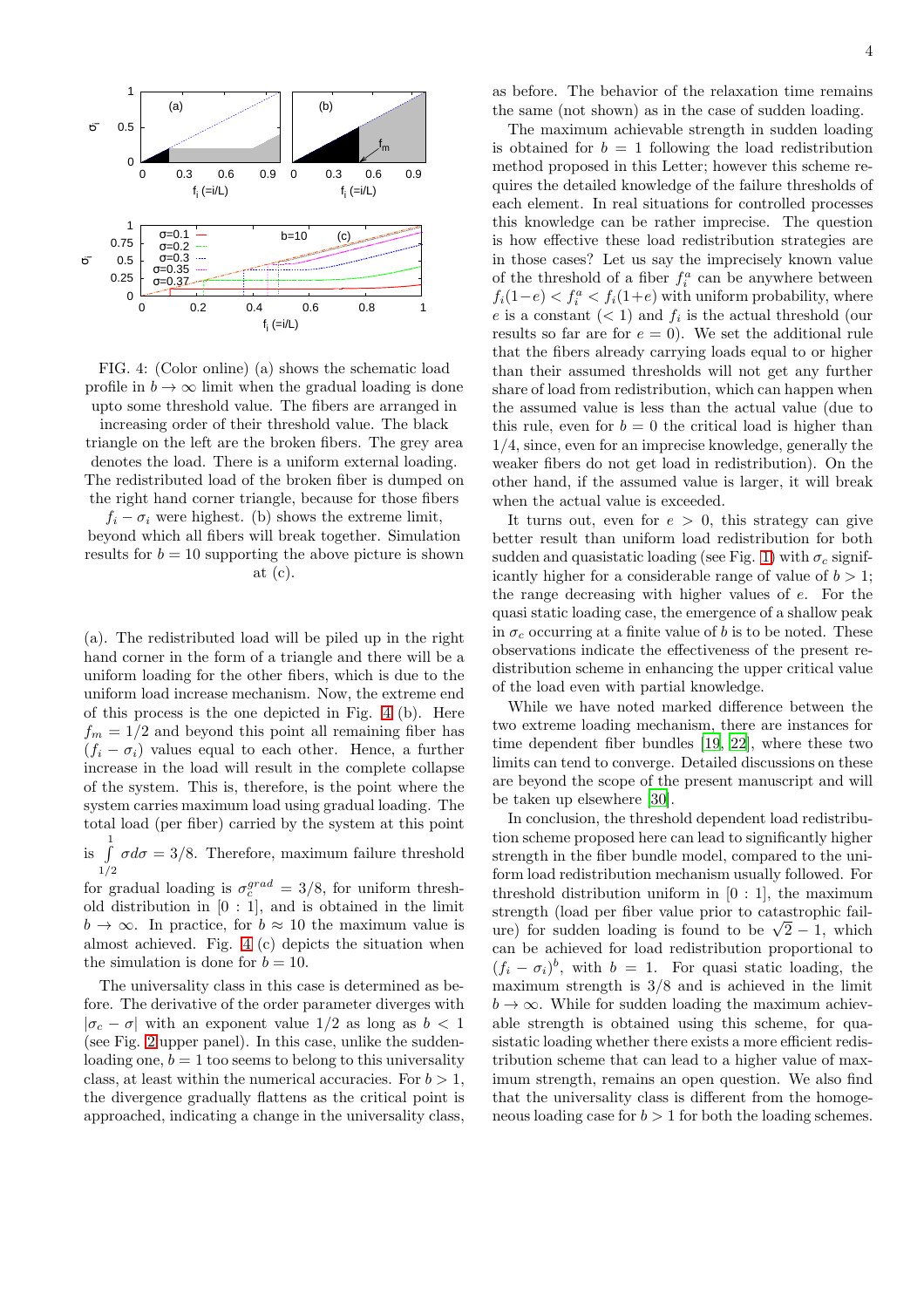<span id="page-3-0"></span>



increasing order of their threshold value. The black triangle on the left are the broken fibers. The grey area denotes the load. There is a uniform external loading. The redistributed load of the broken fiber is dumped on the right hand corner triangle, because for those fibers

 $f_i - \sigma_i$  were highest. (b) shows the extreme limit, beyond which all fibers will break together. Simulation results for  $b = 10$  supporting the above picture is shown at  $(c)$ .

(a). The redistributed load will be piled up in the right hand corner in the form of a triangle and there will be a uniform loading for the other fibers, which is due to the uniform load increase mechanism. Now, the extreme end of this process is the one depicted in Fig. [4](#page-3-0) (b). Here  $f_m = 1/2$  and beyond this point all remaining fiber has  $(f_i - \sigma_i)$  values equal to each other. Hence, a further increase in the load will result in the complete collapse of the system. This is, therefore, is the point where the system carries maximum load using gradual loading. The total load (per fiber) carried by the system at this point

is  $\int$  $1/2$  $\sigma d\sigma = 3/8$ . Therefore, maximum failure threshold

for gradual loading is  $\sigma_c^{grad} = 3/8$ , for uniform threshold distribution in [0 : 1], and is obtained in the limit  $b \to \infty$ . In practice, for  $b \approx 10$  the maximum value is almost achieved. Fig. [4](#page-3-0) (c) depicts the situation when the simulation is done for  $b = 10$ .

The universality class in this case is determined as before. The derivative of the order parameter diverges with  $|\sigma_c - \sigma|$  with an exponent value 1/2 as long as  $b < 1$ (see Fig. [2](#page-2-1) upper panel). In this case, unlike the suddenloading one,  $b = 1$  too seems to belong to this universality class, at least within the numerical accuracies. For  $b > 1$ , the divergence gradually flattens as the critical point is approached, indicating a change in the universality class,

as before. The behavior of the relaxation time remains the same (not shown) as in the case of sudden loading.

The maximum achievable strength in sudden loading is obtained for  $b = 1$  following the load redistribution method proposed in this Letter; however this scheme requires the detailed knowledge of the failure thresholds of each element. In real situations for controlled processes this knowledge can be rather imprecise. The question is how effective these load redistribution strategies are in those cases? Let us say the imprecisely known value of the threshold of a fiber  $f_i^a$  can be anywhere between  $f_i(1-e) < f_i^a < f_i(1+e)$  with uniform probability, where e is a constant  $(< 1)$  and  $f_i$  is the actual threshold (our results so far are for  $e = 0$ ). We set the additional rule that the fibers already carrying loads equal to or higher than their assumed thresholds will not get any further share of load from redistribution, which can happen when the assumed value is less than the actual value (due to this rule, even for  $b = 0$  the critical load is higher than 1/4, since, even for an imprecise knowledge, generally the weaker fibers do not get load in redistribution). On the other hand, if the assumed value is larger, it will break when the actual value is exceeded.

It turns out, even for  $e > 0$ , this strategy can give better result than uniform load redistribution for both sudden and quasistatic loading (see Fig. [1\)](#page-1-0) with  $\sigma_c$  significantly higher for a considerable range of value of  $b > 1$ ; the range decreasing with higher values of e. For the quasi static loading case, the emergence of a shallow peak in  $\sigma_c$  occurring at a finite value of b is to be noted. These observations indicate the effectiveness of the present redistribution scheme in enhancing the upper critical value of the load even with partial knowledge.

While we have noted marked difference between the two extreme loading mechanism, there are instances for time dependent fiber bundles [\[19,](#page-4-20) [22\]](#page-4-10), where these two limits can tend to converge. Detailed discussions on these are beyond the scope of the present manuscript and will be taken up elsewhere [\[30](#page-4-21)].

In conclusion, the threshold dependent load redistribution scheme proposed here can lead to significantly higher strength in the fiber bundle model, compared to the uniform load redistribution mechanism usually followed. For threshold distribution uniform in  $[0:1]$ , the maximum strength (load per fiber value prior to catastrophic failure) for sudden loading is found to be  $\sqrt{2} - 1$ , which can be achieved for load redistribution proportional to  $(f_i - \sigma_i)^b$ , with  $b = 1$ . For quasi static loading, the maximum strength is 3/8 and is achieved in the limit  $b \to \infty$ . While for sudden loading the maximum achievable strength is obtained using this scheme, for quasistatic loading whether there exists a more efficient redistribution scheme that can lead to a higher value of maximum strength, remains an open question. We also find that the universality class is different from the homogeneous loading case for  $b > 1$  for both the loading schemes.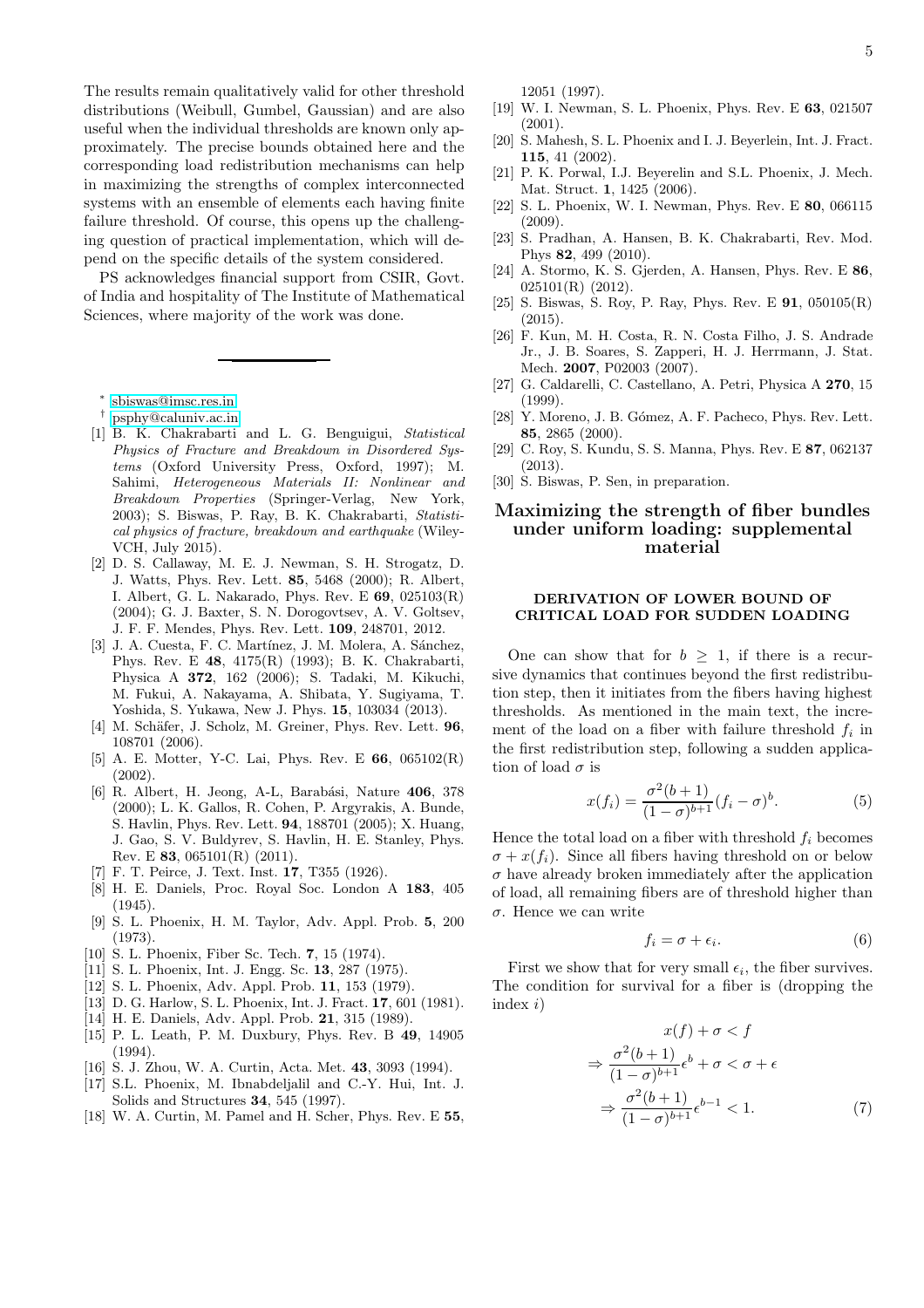The results remain qualitatively valid for other threshold distributions (Weibull, Gumbel, Gaussian) and are also useful when the individual thresholds are known only approximately. The precise bounds obtained here and the corresponding load redistribution mechanisms can help in maximizing the strengths of complex interconnected systems with an ensemble of elements each having finite failure threshold. Of course, this opens up the challenging question of practical implementation, which will depend on the specific details of the system considered.

PS acknowledges financial support from CSIR, Govt. of India and hospitality of The Institute of Mathematical Sciences, where majority of the work was done.

∗ [sbiswas@imsc.res.in](mailto:sbiswas@imsc.res.in)

- <span id="page-4-1"></span><span id="page-4-0"></span>† [psphy@caluniv.ac.in](mailto:psphy@caluniv.ac.in)
- <span id="page-4-2"></span>[1] B. K. Chakrabarti and L. G. Benguigui, *Statistical Physics of Fracture and Breakdown in Disordered Systems* (Oxford University Press, Oxford, 1997); M. Sahimi, *Heterogeneous Materials II: Nonlinear and Breakdown Properties* (Springer-Verlag, New York, 2003); S. Biswas, P. Ray, B. K. Chakrabarti, *Statistical physics of fracture, breakdown and earthquake* (Wiley-VCH, July 2015).
- <span id="page-4-3"></span>[2] D. S. Callaway, M. E. J. Newman, S. H. Strogatz, D. J. Watts, Phys. Rev. Lett. 85, 5468 (2000); R. Albert, I. Albert, G. L. Nakarado, Phys. Rev. E 69, 025103(R) (2004); G. J. Baxter, S. N. Dorogovtsev, A. V. Goltsev, J. F. F. Mendes, Phys. Rev. Lett. 109, 248701, 2012.
- <span id="page-4-4"></span>[3] J. A. Cuesta, F. C. Martínez, J. M. Molera, A. Sánchez, Phys. Rev. E 48, 4175(R) (1993); B. K. Chakrabarti, Physica A 372, 162 (2006); S. Tadaki, M. Kikuchi, M. Fukui, A. Nakayama, A. Shibata, Y. Sugiyama, T. Yoshida, S. Yukawa, New J. Phys. 15, 103034 (2013).
- <span id="page-4-5"></span>[4] M. Schäfer, J. Scholz, M. Greiner, Phys. Rev. Lett. 96, 108701 (2006).
- <span id="page-4-6"></span>[5] A. E. Motter, Y-C. Lai, Phys. Rev. E 66, 065102(R) (2002).
- <span id="page-4-7"></span>[6] R. Albert, H. Jeong, A-L, Barabási, Nature 406, 378 (2000); L. K. Gallos, R. Cohen, P. Argyrakis, A. Bunde, S. Havlin, Phys. Rev. Lett. 94, 188701 (2005); X. Huang, J. Gao, S. V. Buldyrev, S. Havlin, H. E. Stanley, Phys. Rev. E 83, 065101(R) (2011).
- <span id="page-4-8"></span>F. T. Peirce, J. Text. Inst. 17, T355 (1926).
- <span id="page-4-9"></span>[8] H. E. Daniels, Proc. Royal Soc. London A 183, 405 (1945).
- [9] S. L. Phoenix, H. M. Taylor, Adv. Appl. Prob. 5, 200 (1973).
- <span id="page-4-14"></span>[10] S. L. Phoenix, Fiber Sc. Tech. **7**, 15 (1974).
- [11] S. L. Phoenix, Int. J. Engg. Sc. 13, 287 (1975).
- [12] S. L. Phoenix, Adv. Appl. Prob. 11, 153 (1979).
- [13] D. G. Harlow, S. L. Phoenix, Int. J. Fract. 17, 601 (1981).
- [14] H. E. Daniels, Adv. Appl. Prob. 21, 315 (1989).
- [15] P. L. Leath, P. M. Duxbury, Phys. Rev. B 49, 14905  $(1994)$ .
- [16] S. J. Zhou, W. A. Curtin, Acta. Met. 43, 3093 (1994).
- [17] S.L. Phoenix, M. Ibnabdeljalil and C.-Y. Hui, Int. J. Solids and Structures 34, 545 (1997).
- <span id="page-4-15"></span>[18] W. A. Curtin, M. Pamel and H. Scher, Phys. Rev. E 55.

12051 (1997).

- <span id="page-4-20"></span>[19] W. I. Newman, S. L. Phoenix, Phys. Rev. E 63, 021507 (2001).
- [20] S. Mahesh, S. L. Phoenix and I. J. Beyerlein, Int. J. Fract. 115, 41 (2002).
- [21] P. K. Porwal, I.J. Beyerelin and S.L. Phoenix, J. Mech. Mat. Struct. 1, 1425 (2006).
- <span id="page-4-10"></span>[22] S. L. Phoenix, W. I. Newman, Phys. Rev. E 80, 066115 (2009).
- <span id="page-4-11"></span>[23] S. Pradhan, A. Hansen, B. K. Chakrabarti, Rev. Mod. Phys 82, 499 (2010).
- <span id="page-4-12"></span>[24] A. Stormo, K. S. Gjerden, A. Hansen, Phys. Rev. E 86, 025101(R) (2012).
- <span id="page-4-13"></span>[25] S. Biswas, S. Roy, P. Ray, Phys. Rev. E 91, 050105(R)  $(2015)$
- <span id="page-4-16"></span>[26] F. Kun, M. H. Costa, R. N. Costa Filho, J. S. Andrade Jr., J. B. Soares, S. Zapperi, H. J. Herrmann, J. Stat. Mech. 2007, P02003 (2007).
- <span id="page-4-17"></span>[27] G. Caldarelli, C. Castellano, A. Petri, Physica A 270, 15 (1999).
- <span id="page-4-18"></span>[28] Y. Moreno, J. B. Gómez, A. F. Pacheco, Phys. Rev. Lett. 85, 2865 (2000).
- <span id="page-4-19"></span>[29] C. Roy, S. Kundu, S. S. Manna, Phys. Rev. E 87, 062137 (2013).
- <span id="page-4-21"></span>[30] S. Biswas, P. Sen, in preparation.

# Maximizing the strength of fiber bundles under uniform loading: supplemental material

### DERIVATION OF LOWER BOUND OF CRITICAL LOAD FOR SUDDEN LOADING

One can show that for  $b > 1$ , if there is a recursive dynamics that continues beyond the first redistribution step, then it initiates from the fibers having highest thresholds. As mentioned in the main text, the increment of the load on a fiber with failure threshold  $f_i$  in the first redistribution step, following a sudden application of load  $\sigma$  is

$$
x(f_i) = \frac{\sigma^2(b+1)}{(1-\sigma)^{b+1}} (f_i - \sigma)^b.
$$
 (5)

Hence the total load on a fiber with threshold  $f_i$  becomes  $\sigma + x(f_i)$ . Since all fibers having threshold on or below  $\sigma$  have already broken immediately after the application of load, all remaining fibers are of threshold higher than σ. Hence we can write

$$
f_i = \sigma + \epsilon_i. \tag{6}
$$

First we show that for very small  $\epsilon_i$ , the fiber survives. The condition for survival for a fiber is (dropping the index  $i)$ 

$$
x(f) + \sigma < f
$$
  
\n
$$
\Rightarrow \frac{\sigma^2(b+1)}{(1-\sigma)^{b+1}} \epsilon^b + \sigma < \sigma + \epsilon
$$
  
\n
$$
\Rightarrow \frac{\sigma^2(b+1)}{(1-\sigma)^{b+1}} \epsilon^{b-1} < 1.
$$
 (7)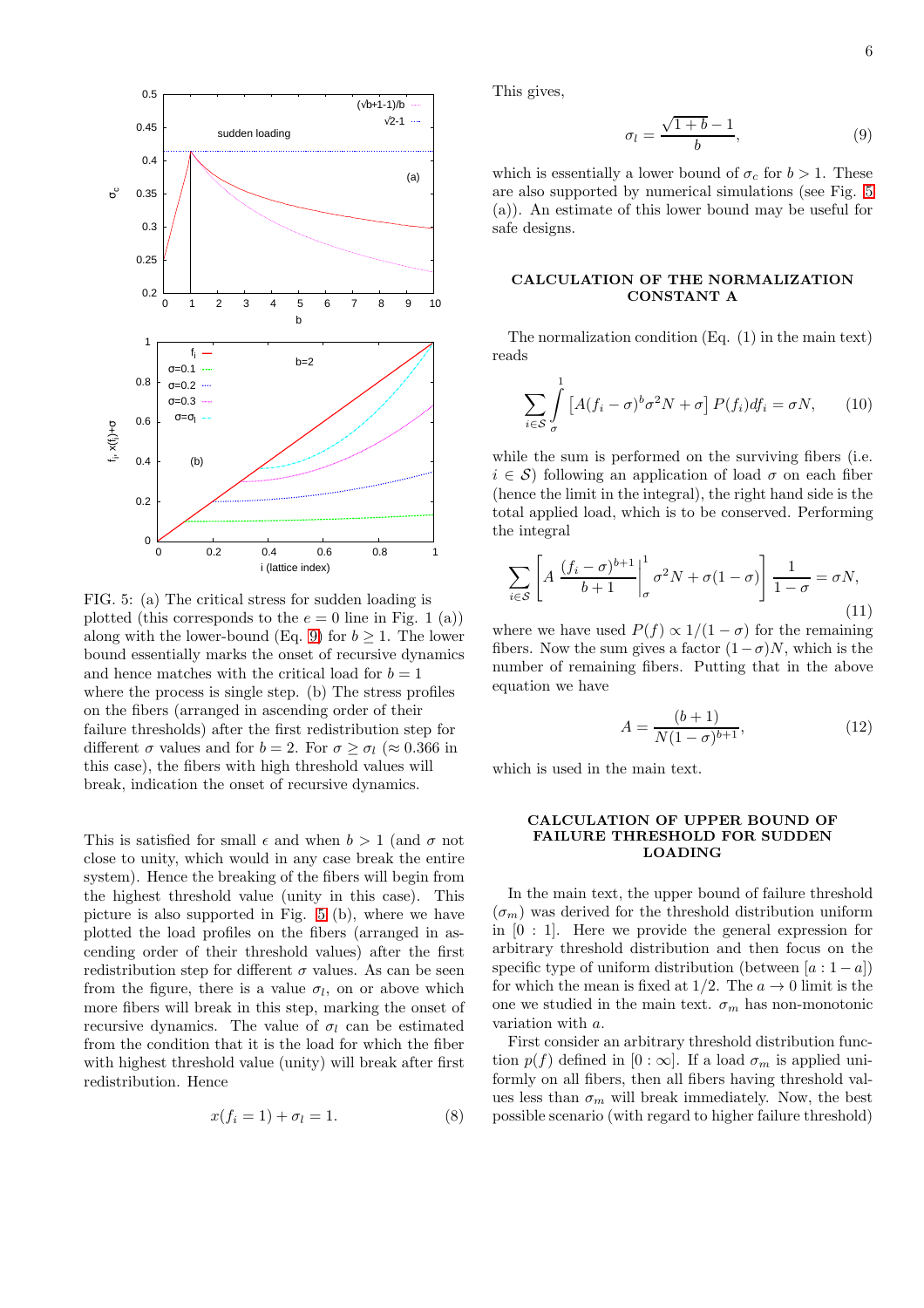<span id="page-5-1"></span>

FIG. 5: (a) The critical stress for sudden loading is plotted (this corresponds to the  $e = 0$  line in Fig. 1 (a)) along with the lower-bound (Eq. [9\)](#page-5-0) for  $b \geq 1$ . The lower bound essentially marks the onset of recursive dynamics and hence matches with the critical load for  $b = 1$ where the process is single step. (b) The stress profiles on the fibers (arranged in ascending order of their failure thresholds) after the first redistribution step for different  $\sigma$  values and for  $b = 2$ . For  $\sigma \geq \sigma_l$  ( $\approx 0.366$  in this case), the fibers with high threshold values will break, indication the onset of recursive dynamics.

This is satisfied for small  $\epsilon$  and when  $b > 1$  (and  $\sigma$  not close to unity, which would in any case break the entire system). Hence the breaking of the fibers will begin from the highest threshold value (unity in this case). This picture is also supported in Fig. [5](#page-5-1) (b), where we have plotted the load profiles on the fibers (arranged in ascending order of their threshold values) after the first redistribution step for different  $\sigma$  values. As can be seen from the figure, there is a value  $\sigma_l$ , on or above which more fibers will break in this step, marking the onset of recursive dynamics. The value of  $\sigma_l$  can be estimated from the condition that it is the load for which the fiber with highest threshold value (unity) will break after first redistribution. Hence

$$
x(f_i = 1) + \sigma_l = 1.
$$
\n<sup>(8)</sup>

This gives,

<span id="page-5-0"></span>
$$
\sigma_l = \frac{\sqrt{1+b}-1}{b},\tag{9}
$$

which is essentially a lower bound of  $\sigma_c$  for  $b > 1$ . These are also supported by numerical simulations (see Fig. [5](#page-5-1) (a)). An estimate of this lower bound may be useful for safe designs.

# CALCULATION OF THE NORMALIZATION CONSTANT A

The normalization condition (Eq. (1) in the main text) reads

$$
\sum_{i \in S} \int_{\sigma}^{1} \left[ A(f_i - \sigma)^b \sigma^2 N + \sigma \right] P(f_i) df_i = \sigma N, \qquad (10)
$$

while the sum is performed on the surviving fibers (i.e.  $i \in \mathcal{S}$ ) following an application of load  $\sigma$  on each fiber (hence the limit in the integral), the right hand side is the total applied load, which is to be conserved. Performing the integral

$$
\sum_{i \in \mathcal{S}} \left[ A \, \frac{(f_i - \sigma)^{b+1}}{b+1} \bigg|_{\sigma}^1 \sigma^2 N + \sigma (1 - \sigma) \right] \frac{1}{1 - \sigma} = \sigma N,\tag{11}
$$

where we have used  $P(f) \propto 1/(1-\sigma)$  for the remaining fibers. Now the sum gives a factor  $(1-\sigma)N$ , which is the number of remaining fibers. Putting that in the above equation we have

$$
A = \frac{(b+1)}{N(1-\sigma)^{b+1}},
$$
\n(12)

which is used in the main text.

## CALCULATION OF UPPER BOUND OF FAILURE THRESHOLD FOR SUDDEN LOADING

In the main text, the upper bound of failure threshold  $(\sigma_m)$  was derived for the threshold distribution uniform in [0 : 1]. Here we provide the general expression for arbitrary threshold distribution and then focus on the specific type of uniform distribution (between  $[a:1-a]$ ) for which the mean is fixed at  $1/2$ . The  $a \to 0$  limit is the one we studied in the main text.  $\sigma_m$  has non-monotonic variation with a.

First consider an arbitrary threshold distribution function  $p(f)$  defined in  $[0 : \infty]$ . If a load  $\sigma_m$  is applied uniformly on all fibers, then all fibers having threshold values less than  $\sigma_m$  will break immediately. Now, the best possible scenario (with regard to higher failure threshold)